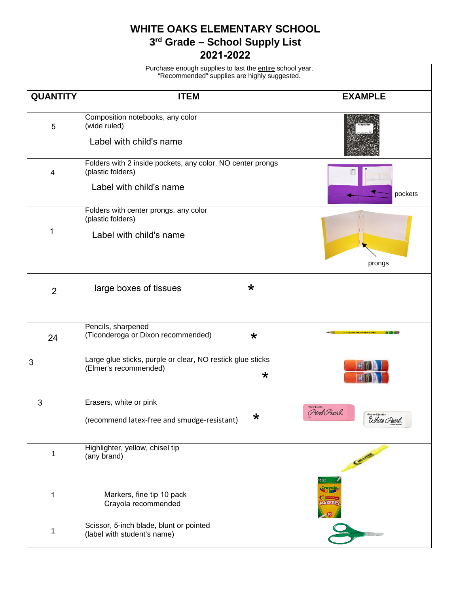## **WHITE OAKS ELEMENTARY SCHOOL 3 rd Grade – School Supply List 2021-2022**

| Purchase enough supplies to last the entire school year.<br>"Recommended" supplies are highly suggested. |                                                                                                            |                                              |  |
|----------------------------------------------------------------------------------------------------------|------------------------------------------------------------------------------------------------------------|----------------------------------------------|--|
| <b>QUANTITY</b>                                                                                          | <b>ITEM</b>                                                                                                | <b>EXAMPLE</b>                               |  |
| 5                                                                                                        | Composition notebooks, any color<br>(wide ruled)<br>Label with child's name                                |                                              |  |
| 4                                                                                                        | Folders with 2 inside pockets, any color, NO center prongs<br>(plastic folders)<br>Label with child's name | pockets                                      |  |
| 1                                                                                                        | Folders with center prongs, any color<br>(plastic folders)<br>Label with child's name                      | prongs                                       |  |
| $\overline{2}$                                                                                           | large boxes of tissues<br>$\star$                                                                          |                                              |  |
| 24                                                                                                       | Pencils, sharpened<br>(Ticonderoga or Dixon recommended)<br>$\star$                                        |                                              |  |
| 3                                                                                                        | Large glue sticks, purple or clear, NO restick glue sticks<br>(Elmer's recommended)<br>$\star$             |                                              |  |
| $\sqrt{3}$                                                                                               | Erasers, white or pink<br>$\star$<br>(recommend latex-free and smudge-resistant)                           | Pink Pearl.<br>Paper : Mate-<br>Uhite Pearl. |  |
| 1                                                                                                        | Highlighter, yellow, chisel tip<br>(any brand)                                                             |                                              |  |
| 1                                                                                                        | Markers, fine tip 10 pack<br>Crayola recommended                                                           | <b>OSSE</b><br>MARKER                        |  |
| 1                                                                                                        | Scissor, 5-inch blade, blunt or pointed<br>(label with student's name)                                     |                                              |  |